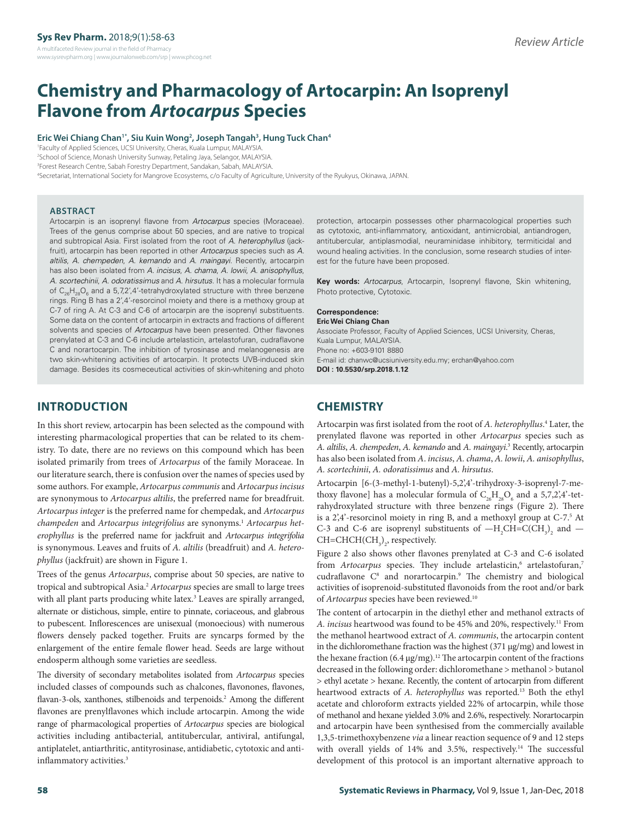# **Chemistry and Pharmacology of Artocarpin: An Isoprenyl Flavone from** *Artocarpus* **Species**

#### **Eric Wei Chiang Chan1\*, Siu Kuin Wong2 , Joseph Tangah3 , Hung Tuck Chan4**

 Faculty of Applied Sciences, UCSI University, Cheras, Kuala Lumpur, MALAYSIA. School of Science, Monash University Sunway, Petaling Jaya, Selangor, MALAYSIA. Forest Research Centre, Sabah Forestry Department, Sandakan, Sabah, MALAYSIA. Secretariat, International Society for Mangrove Ecosystems, c/o Faculty of Agriculture, University of the Ryukyus, Okinawa, JAPAN.

#### **ABSTRACT**

Artocarpin is an isoprenyl flavone from *Artocarpus* species (Moraceae). Trees of the genus comprise about 50 species, and are native to tropical and subtropical Asia. First isolated from the root of *A. heterophyllus* (jackfruit), artocarpin has been reported in other *Artocarpus* species such as *A. altilis*, *A. chempeden*, *A. kemando* and *A. maingayi*. Recently, artocarpin has also been isolated from *A. incisus*, *A. chama*, *A. lowii*, *A. anisophyllus*, *A. scortechinii*, *A. odoratissimus* and *A. hirsutus*. It has a molecular formula of  $\mathsf{C}_{\mathsf{26}}\mathsf{H}_{\mathsf{28}}\mathsf{O}_{\mathsf{6}}$  and a 5,7,2',4'-tetrahydroxylated structure with three benzene rings. Ring B has a 2',4'-resorcinol moiety and there is a methoxy group at C-7 of ring A. At C-3 and C-6 of artocarpin are the isoprenyl substituents. Some data on the content of artocarpin in extracts and fractions of different solvents and species of *Artocarpus* have been presented. Other flavones prenylated at C-3 and C-6 include artelasticin, artelastofuran, cudraflavone C and norartocarpin. The inhibition of tyrosinase and melanogenesis are two skin-whitening activities of artocarpin. It protects UVB-induced skin damage. Besides its cosmeceutical activities of skin-whitening and photo

protection, artocarpin possesses other pharmacological properties such as cytotoxic, anti-inflammatory, antioxidant, antimicrobial, antiandrogen, antitubercular, antiplasmodial, neuraminidase inhibitory, termiticidal and wound healing activities. In the conclusion, some research studies of interest for the future have been proposed.

**Key words:** *Artocarpus*, Artocarpin, Isoprenyl flavone, Skin whitening, Photo protective, Cytotoxic.

#### **Correspondence:**

**Eric Wei Chiang Chan** Associate Professor, Faculty of Applied Sciences, UCSI University, Cheras, Kuala Lumpur, MALAYSIA. Phone no: +603-9101 8880 E-mail id: chanwc@ucsiuniversity.edu.my; erchan@yahoo.com **DOI : 10.5530/srp.2018.1.12**

### **INTRODUCTION**

In this short review, artocarpin has been selected as the compound with interesting pharmacological properties that can be related to its chemistry. To date, there are no reviews on this compound which has been isolated primarily from trees of *Artocarpus* of the family Moraceae. In our literature search, there is confusion over the names of species used by some authors. For example, *Artocarpus communis* and *Artocarpus incisus* are synonymous to *Artocarpus altilis*, the preferred name for breadfruit. *Artocarpus integer* is the preferred name for chempedak, and *Artocarpus*  champeden and Artocarpus integrifolius are synonyms.<sup>1</sup> Artocarpus het*erophyllus* is the preferred name for jackfruit and *Artocarpus integrifolia*  is synonymous. Leaves and fruits of *A. altilis* (breadfruit) and *A. heterophyllus* (jackfruit) are shown in Figure 1.

Trees of the genus *Artocarpus*, comprise about 50 species, are native to tropical and subtropical Asia.2 *Artocarpus* species are small to large trees with all plant parts producing white latex.<sup>3</sup> Leaves are spirally arranged, alternate or distichous, simple, entire to pinnate, coriaceous, and glabrous to pubescent. Inflorescences are unisexual (monoecious) with numerous flowers densely packed together. Fruits are syncarps formed by the enlargement of the entire female flower head. Seeds are large without endosperm although some varieties are seedless.

The diversity of secondary metabolites isolated from *Artocarpus* species included classes of compounds such as chalcones, flavonones, flavones, flavan-3-ols, xanthones, stilbenoids and terpenoids.<sup>2</sup> Among the different flavones are prenylflavones which include artocarpin. Among the wide range of pharmacological properties of *Artocarpus* species are biological activities including antibacterial, antitubercular, antiviral, antifungal, antiplatelet, antiarthritic, antityrosinase, antidiabetic, cytotoxic and antiinflammatory activities.<sup>3</sup>

### **CHEMISTRY**

Artocarpin was first isolated from the root of *A. heterophyllus*. 4 Later, the prenylated flavone was reported in other *Artocarpus* species such as *A. altilis*, *A. chempeden*, *A. kemando* and *A. maingayi*. 3 Recently, artocarpin has also been isolated from *A*. *incisus*, *A. chama*, *A. lowii*, *A. anisophyllus*, *A. scortechinii*, *A. odoratissimus* and *A. hirsutus*.

Artocarpin [6-(3-methyl-1-butenyl)-5,2',4'-trihydroxy-3-isoprenyl-7-methoxy flavone] has a molecular formula of  $\mathrm{C_{26}H_{28}O_6}$  and a 5,7,2,4°-tetrahydroxylated structure with three benzene rings (Figure 2). There is a 2',4'-resorcinol moiety in ring B, and a methoxyl group at C-7.<sup>5</sup> At C-3 and C-6 are isoprenyl substituents of  $-H_2CH=C(CH_3)_2$  and  $CH = CHCH(CH<sub>3</sub>)<sub>2</sub>$ , respectively.

Figure 2 also shows other flavones prenylated at C-3 and C-6 isolated from Artocarpus species. They include artelasticin,<sup>6</sup> artelastofuran,7 cudraflavone C<sup>8</sup> and norartocarpin.<sup>9</sup> The chemistry and biological activities of isoprenoid-substituted flavonoids from the root and/or bark of *Artocarpus* species have been reviewed.10

The content of artocarpin in the diethyl ether and methanol extracts of *A. incisus* heartwood was found to be 45% and 20%, respectively.11 From the methanol heartwood extract of *A. communis*, the artocarpin content in the dichloromethane fraction was the highest (371 µg/mg) and lowest in the hexane fraction  $(6.4 \,\mathrm{\upmu g/mg})$ .<sup>12</sup> The artocarpin content of the fractions decreased in the following order: dichloromethane > methanol > butanol > ethyl acetate > hexane. Recently, the content of artocarpin from different heartwood extracts of *A. heterophyllus* was reported.13 Both the ethyl acetate and chloroform extracts yielded 22% of artocarpin, while those of methanol and hexane yielded 3.0% and 2.6%, respectively. Norartocarpin and artocarpin have been synthesised from the commercially available 1,3,5-trimethoxybenzene *via* a linear reaction sequence of 9 and 12 steps with overall yields of 14% and 3.5%, respectively.<sup>14</sup> The successful development of this protocol is an important alternative approach to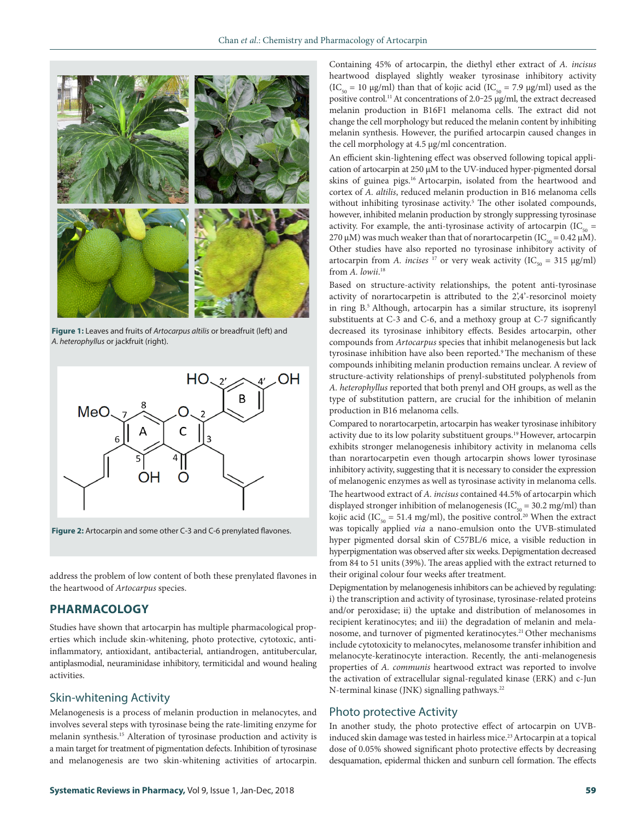

**Figure 1:** Leaves and fruits of *Artocarpus altilis* or breadfruit (left) and *A. heterophyllus* or jackfruit (right).



**Figure 2:** Artocarpin and some other C-3 and C-6 prenylated flavones.

address the problem of low content of both these prenylated flavones in the heartwood of *Artocarpus* species.

### **PHARMACOLOGY**

Studies have shown that artocarpin has multiple pharmacological properties which include skin-whitening, photo protective, cytotoxic, antiinflammatory, antioxidant, antibacterial, antiandrogen, antitubercular, antiplasmodial, neuraminidase inhibitory, termiticidal and wound healing activities.

### Skin-whitening Activity

Melanogenesis is a process of melanin production in melanocytes, and involves several steps with tyrosinase being the rate-limiting enzyme for melanin synthesis.15 Alteration of tyrosinase production and activity is a main target for treatment of pigmentation defects. Inhibition of tyrosinase and melanogenesis are two skin-whitening activities of artocarpin.

An efficient skin-lightening effect was observed following topical application of artocarpin at 250 µM to the UV-induced hyper-pigmented dorsal skins of guinea pigs.<sup>16</sup> Artocarpin, isolated from the heartwood and cortex of *A. altilis*, reduced melanin production in B16 melanoma cells without inhibiting tyrosinase activity.<sup>5</sup> The other isolated compounds, however, inhibited melanin production by strongly suppressing tyrosinase activity. For example, the anti-tyrosinase activity of artocarpin ( $IC_{50}$  = 270 μM) was much weaker than that of norartocarpetin (IC<sub>50</sub> = 0.42 μM). Other studies have also reported no tyrosinase inhibitory activity of artocarpin from *A. incises* <sup>17</sup> or very weak activity (IC<sub>50</sub> = 315 µg/ml) from *A. lowii*. 18

Based on structure-activity relationships, the potent anti-tyrosinase activity of norartocarpetin is attributed to the 2',4'-resorcinol moiety in ring B.5 Although, artocarpin has a similar structure, its isoprenyl substituents at C-3 and C-6, and a methoxy group at C-7 significantly decreased its tyrosinase inhibitory effects. Besides artocarpin, other compounds from *Artocarpus* species that inhibit melanogenesis but lack tyrosinase inhibition have also been reported.<sup>9</sup> The mechanism of these compounds inhibiting melanin production remains unclear. A review of structure-activity relationships of prenyl-substituted polyphenols from *A. heterophyllus* reported that both prenyl and OH groups, as well as the type of substitution pattern, are crucial for the inhibition of melanin production in B16 melanoma cells.

Compared to norartocarpetin, artocarpin has weaker tyrosinase inhibitory activity due to its low polarity substituent groups.19 However, artocarpin exhibits stronger melanogenesis inhibitory activity in melanoma cells than norartocarpetin even though artocarpin shows lower tyrosinase inhibitory activity, suggesting that it is necessary to consider the expression of melanogenic enzymes as well as tyrosinase activity in melanoma cells. The heartwood extract of *A. incisus* contained 44.5% of artocarpin which displayed stronger inhibition of melanogenesis ( $IC_{50} = 30.2$  mg/ml) than kojic acid (IC<sub>50</sub> = 51.4 mg/ml), the positive control.<sup>20</sup> When the extract was topically applied *via* a nano-emulsion onto the UVB-stimulated hyper pigmented dorsal skin of C57BL/6 mice, a visible reduction in hyperpigmentation was observed after six weeks. Depigmentation decreased from 84 to 51 units (39%). The areas applied with the extract returned to their original colour four weeks after treatment.

Depigmentation by melanogenesis inhibitors can be achieved by regulating: i) the transcription and activity of tyrosinase, tyrosinase-related proteins and/or peroxidase; ii) the uptake and distribution of melanosomes in recipient keratinocytes; and iii) the degradation of melanin and melanosome, and turnover of pigmented keratinocytes.<sup>21</sup> Other mechanisms include cytotoxicity to melanocytes, melanosome transfer inhibition and melanocyte-keratinocyte interaction. Recently, the anti-melanogenesis properties of *A. communis* heartwood extract was reported to involve the activation of extracellular signal-regulated kinase (ERK) and c-Jun N-terminal kinase (JNK) signalling pathways.<sup>22</sup>

#### Photo protective Activity

In another study, the photo protective effect of artocarpin on UVBinduced skin damage was tested in hairless mice.<sup>23</sup> Artocarpin at a topical dose of 0.05% showed significant photo protective effects by decreasing desquamation, epidermal thicken and sunburn cell formation. The effects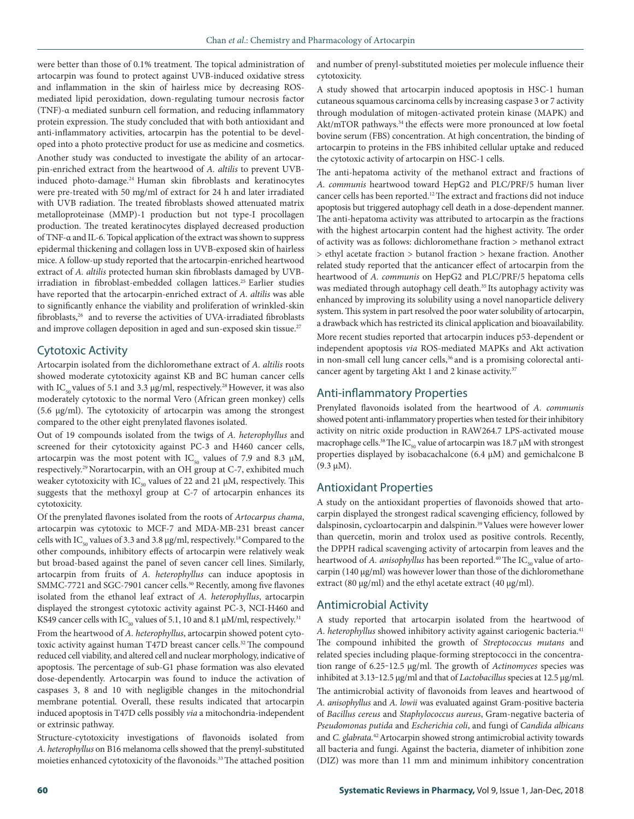were better than those of 0.1% treatment. The topical administration of artocarpin was found to protect against UVB-induced oxidative stress and inflammation in the skin of hairless mice by decreasing ROSmediated lipid peroxidation, down-regulating tumour necrosis factor (TNF)-α mediated sunburn cell formation, and reducing inflammatory protein expression. The study concluded that with both antioxidant and anti-inflammatory activities, artocarpin has the potential to be developed into a photo protective product for use as medicine and cosmetics. Another study was conducted to investigate the ability of an artocarpin-enriched extract from the heartwood of *A. altilis* to prevent UVBinduced photo-damage.24 Human skin fibroblasts and keratinocytes were pre-treated with 50 mg/ml of extract for 24 h and later irradiated with UVB radiation. The treated fibroblasts showed attenuated matrix metalloproteinase (MMP)-1 production but not type-I procollagen production. The treated keratinocytes displayed decreased production of TNF-α and IL-6. Topical application of the extract was shown to suppress epidermal thickening and collagen loss in UVB-exposed skin of hairless mice. A follow-up study reported that the artocarpin-enriched heartwood extract of *A. altilis* protected human skin fibroblasts damaged by UVBirradiation in fibroblast-embedded collagen lattices.<sup>25</sup> Earlier studies have reported that the artocarpin-enriched extract of *A. altilis* was able to significantly enhance the viability and proliferation of wrinkled-skin fibroblasts,<sup>26</sup> and to reverse the activities of UVA-irradiated fibroblasts and improve collagen deposition in aged and sun-exposed skin tissue.<sup>27</sup>

### Cytotoxic Activity

Artocarpin isolated from the dichloromethane extract of *A. altilis* roots showed moderate cytotoxicity against KB and BC human cancer cells with IC<sub>50</sub> values of 5.1 and 3.3 µg/ml, respectively.<sup>28</sup> However, it was also moderately cytotoxic to the normal Vero (African green monkey) cells (5.6 µg/ml). The cytotoxicity of artocarpin was among the strongest compared to the other eight prenylated flavones isolated.

Out of 19 compounds isolated from the twigs of *A. heterophyllus* and screened for their cytotoxicity against PC-3 and H460 cancer cells, artocarpin was the most potent with  $IC_{50}$  values of 7.9 and 8.3  $\mu$ M, respectively.<sup>29</sup> Norartocarpin, with an OH group at C-7, exhibited much weaker cytotoxicity with  $IC_{50}$  values of 22 and 21  $\mu$ M, respectively. This suggests that the methoxyl group at C-7 of artocarpin enhances its cytotoxicity.

Of the prenylated flavones isolated from the roots of *Artocarpus chama*, artocarpin was cytotoxic to MCF-7 and MDA-MB-231 breast cancer cells with  $IC_{50}$  values of 3.3 and 3.8 μg/ml, respectively.<sup>18</sup> Compared to the other compounds, inhibitory effects of artocarpin were relatively weak but broad-based against the panel of seven cancer cell lines. Similarly, artocarpin from fruits of *A. heterophyllus* can induce apoptosis in SMMC-7721 and SGC-7901 cancer cells.<sup>30</sup> Recently, among five flavones isolated from the ethanol leaf extract of *A. heterophyllus*, artocarpin displayed the strongest cytotoxic activity against PC-3, NCI-H460 and KS49 cancer cells with  $IC_{50}$  values of 5.1, 10 and 8.1  $\mu$ M/ml, respectively.<sup>31</sup> From the heartwood of *A. heterophyllus*, artocarpin showed potent cytotoxic activity against human T47D breast cancer cells.<sup>32</sup> The compound reduced cell viability, and altered cell and nuclear morphology, indicative of apoptosis. The percentage of sub-G1 phase formation was also elevated dose-dependently. Artocarpin was found to induce the activation of caspases 3, 8 and 10 with negligible changes in the mitochondrial membrane potential. Overall, these results indicated that artocarpin induced apoptosis in T47D cells possibly *via* a mitochondria-independent or extrinsic pathway.

Structure-cytotoxicity investigations of flavonoids isolated from *A. heterophyllus* on B16 melanoma cells showed that the prenyl-substituted moieties enhanced cytotoxicity of the flavonoids.33 The attached position and number of prenyl-substituted moieties per molecule influence their cytotoxicity.

A study showed that artocarpin induced apoptosis in HSC-1 human cutaneous squamous carcinoma cells by increasing caspase 3 or 7 activity through modulation of mitogen-activated protein kinase (MAPK) and Akt/mTOR pathways.<sup>34</sup> the effects were more pronounced at low foetal bovine serum (FBS) concentration. At high concentration, the binding of artocarpin to proteins in the FBS inhibited cellular uptake and reduced the cytotoxic activity of artocarpin on HSC-1 cells.

The anti-hepatoma activity of the methanol extract and fractions of *A. communis* heartwood toward HepG2 and PLC/PRF/5 human liver cancer cells has been reported.12 The extract and fractions did not induce apoptosis but triggered autophagy cell death in a dose-dependent manner. The anti-hepatoma activity was attributed to artocarpin as the fractions with the highest artocarpin content had the highest activity. The order of activity was as follows: dichloromethane fraction > methanol extract > ethyl acetate fraction > butanol fraction > hexane fraction. Another related study reported that the anticancer effect of artocarpin from the heartwood of *A. communis* on HepG2 and PLC/PRF/5 hepatoma cells was mediated through autophagy cell death.<sup>35</sup> Its autophagy activity was enhanced by improving its solubility using a novel nanoparticle delivery system. This system in part resolved the poor water solubility of artocarpin, a drawback which has restricted its clinical application and bioavailability.

More recent studies reported that artocarpin induces p53-dependent or independent apoptosis *via* ROS-mediated MAPKs and Akt activation in non-small cell lung cancer cells,<sup>36</sup> and is a promising colorectal anticancer agent by targeting Akt 1 and 2 kinase activity.<sup>37</sup>

### Anti-inflammatory Properties

Prenylated flavonoids isolated from the heartwood of *A. communis* showed potent anti-inflammatory properties when tested for their inhibitory activity on nitric oxide production in RAW264.7 LPS-activated mouse macrophage cells.<sup>38</sup> The IC<sub>50</sub> value of artocarpin was 18.7  $\upmu\text{M}$  with strongest properties displayed by isobacachalcone (6.4 μM) and gemichalcone B (9.3 μM).

#### Antioxidant Properties

A study on the antioxidant properties of flavonoids showed that artocarpin displayed the strongest radical scavenging efficiency, followed by dalspinosin, cycloartocarpin and dalspinin.39 Values were however lower than quercetin, morin and trolox used as positive controls. Recently, the DPPH radical scavenging activity of artocarpin from leaves and the heartwood of *A. anisophyllus* has been reported.<sup>40</sup> The IC<sub>50</sub> value of artocarpin (140 μg/ml) was however lower than those of the dichloromethane extract (80 μg/ml) and the ethyl acetate extract (40 μg/ml).

#### Antimicrobial Activity

A study reported that artocarpin isolated from the heartwood of *A. heterophyllus* showed inhibitory activity against cariogenic bacteria.41 The compound inhibited the growth of *Streptococcus mutans* and related species including plaque-forming streptococci in the concentration range of 6.25‒12.5 μg/ml. The growth of *Actinomyces* species was inhibited at 3.13‒12.5 μg/ml and that of *Lactobacillus* species at 12.5 μg/ml. The antimicrobial activity of flavonoids from leaves and heartwood of *A. anisophyllus* and *A. lowii* was evaluated against Gram-positive bacteria of *Bacillus cereus* and *Staphylococcus aureus*, Gram-negative bacteria of *Pseudomonas putida* and *Escherichia coli*, and fungi of *Candida albicans* and *C. glabrata.*42 Artocarpin showed strong antimicrobial activity towards all bacteria and fungi. Against the bacteria, diameter of inhibition zone (DIZ) was more than 11 mm and minimum inhibitory concentration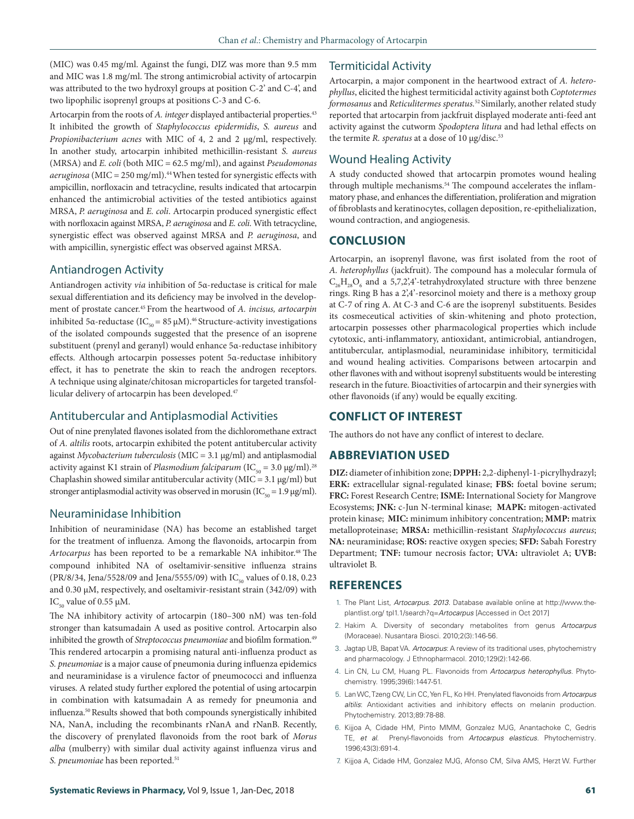(MIC) was 0.45 mg/ml. Against the fungi, DIZ was more than 9.5 mm and MIC was 1.8 mg/ml. The strong antimicrobial activity of artocarpin was attributed to the two hydroxyl groups at position C-2' and C-4', and two lipophilic isoprenyl groups at positions C-3 and C-6.

Artocarpin from the roots of *A. integer* displayed antibacterial properties.<sup>43</sup> It inhibited the growth of *Staphylococcus epidermidis*, *S. aureus* and *Propionibacterium acnes* with MIC of 4, 2 and 2 μg/ml, respectively. In another study, artocarpin inhibited methicillin-resistant *S. aureus* (MRSA) and *E. coli* (both MIC = 62.5 mg/ml), and against *Pseudomonas aeruginosa* (MIC = 250 mg/ml).44 When tested for synergistic effects with ampicillin, norfloxacin and tetracycline, results indicated that artocarpin enhanced the antimicrobial activities of the tested antibiotics against MRSA, *P. aeruginosa* and *E. coli*. Artocarpin produced synergistic effect with norfloxacin against MRSA, *P. aeruginosa* and *E. coli*. With tetracycline, synergistic effect was observed against MRSA and *P. aeruginosa*, and with ampicillin, synergistic effect was observed against MRSA.

### Antiandrogen Activity

Antiandrogen activity *via* inhibition of 5α-reductase is critical for male sexual differentiation and its deficiency may be involved in the development of prostate cancer.45 From the heartwood of *A. incisus, artocarpin* inhibited 5α-reductase (IC<sub>50</sub> = 85 μM).<sup>46</sup> Structure-activity investigations of the isolated compounds suggested that the presence of an isoprene substituent (prenyl and geranyl) would enhance 5α-reductase inhibitory effects. Although artocarpin possesses potent 5α-reductase inhibitory effect, it has to penetrate the skin to reach the androgen receptors. A technique using alginate/chitosan microparticles for targeted transfollicular delivery of artocarpin has been developed.47

### Antitubercular and Antiplasmodial Activities

Out of nine prenylated flavones isolated from the dichloromethane extract of *A. altilis* roots, artocarpin exhibited the potent antitubercular activity against *Mycobacterium tuberculosis* (MIC = 3.1 µg/ml) and antiplasmodial activity against K1 strain of *Plasmodium falciparum* (IC<sub>50</sub> = 3.0 µg/ml).<sup>28</sup> Chaplashin showed similar antitubercular activity (MIC =  $3.1 \mu$ g/ml) but stronger antiplasmodial activity was observed in morusin ( $IC_{\text{so}} = 1.9 \,\mu\text{g/ml}$ ).

### Neuraminidase Inhibition

Inhibition of neuraminidase (NA) has become an established target for the treatment of influenza. Among the flavonoids, artocarpin from Artocarpus has been reported to be a remarkable NA inhibitor.<sup>48</sup> The compound inhibited NA of oseltamivir-sensitive influenza strains (PR/8/34, Jena/5528/09 and Jena/5555/09) with IC<sub>50</sub> values of 0.18, 0.23 and 0.30 µM, respectively, and oseltamivir-resistant strain (342/09) with IC<sub>50</sub> value of 0.55  $\mu$ M.

The NA inhibitory activity of artocarpin (180–300 nM) was ten-fold stronger than katsumadain A used as positive control. Artocarpin also inhibited the growth of *Streptococcus pneumoniae* and biofilm formation.<sup>49</sup> This rendered artocarpin a promising natural anti-influenza product as *S. pneumoniae* is a major cause of pneumonia during influenza epidemics and neuraminidase is a virulence factor of pneumococci and influenza viruses. A related study further explored the potential of using artocarpin in combination with katsumadain A as remedy for pneumonia and influenza.50 Results showed that both compounds synergistically inhibited NA, NanA, including the recombinants rNanA and rNanB. Recently, the discovery of prenylated flavonoids from the root bark of *Morus alba* (mulberry) with similar dual activity against influenza virus and *S. pneumoniae* has been reported.<sup>51</sup>

### Termiticidal Activity

Artocarpin, a major component in the heartwood extract of *A. heterophyllus*, elicited the highest termiticidal activity against both *Coptotermes formosanus* and *Reticulitermes speratus.*52 Similarly, another related study reported that artocarpin from jackfruit displayed moderate anti-feed ant activity against the cutworm *Spodoptera litura* and had lethal effects on the termite *R. speratus* at a dose of 10 μg/disc.<sup>53</sup>

### Wound Healing Activity

A study conducted showed that artocarpin promotes wound healing through multiple mechanisms.<sup>54</sup> The compound accelerates the inflammatory phase, and enhances the differentiation, proliferation and migration of fibroblasts and keratinocytes, collagen deposition, re-epithelialization, wound contraction, and angiogenesis.

### **CONCLUSION**

Artocarpin, an isoprenyl flavone, was first isolated from the root of *A. heterophyllus* (jackfruit). The compound has a molecular formula of  $C_{26}H_{28}O_6$  and a 5,7,2',4'-tetrahydroxylated structure with three benzene rings. Ring B has a 2',4'-resorcinol moiety and there is a methoxy group at C-7 of ring A. At C-3 and C-6 are the isoprenyl substituents. Besides its cosmeceutical activities of skin-whitening and photo protection, artocarpin possesses other pharmacological properties which include cytotoxic, anti-inflammatory, antioxidant, antimicrobial, antiandrogen, antitubercular, antiplasmodial, neuraminidase inhibitory, termiticidal and wound healing activities. Comparisons between artocarpin and other flavones with and without isoprenyl substituents would be interesting research in the future. Bioactivities of artocarpin and their synergies with other flavonoids (if any) would be equally exciting.

### **CONFLICT OF INTEREST**

The authors do not have any conflict of interest to declare.

### **ABBREVIATION USED**

**DIZ:** diameter of inhibition zone; **DPPH:** 2,2-diphenyl-1-picrylhydrazyl; **ERK:** extracellular signal-regulated kinase; **FBS:** foetal bovine serum; **FRC:** Forest Research Centre; **ISME:** International Society for Mangrove Ecosystems; **JNK:** c-Jun N-terminal kinase; **MAPK:** mitogen-activated protein kinase; **MIC:** minimum inhibitory concentration; **MMP:** matrix metalloproteinase; **MRSA:** methicillin-resistant *Staphylococcus aureus*; **NA:** neuraminidase; **ROS:** reactive oxygen species; **SFD:** Sabah Forestry Department; **TNF:** tumour necrosis factor; **UVA:** ultraviolet A; **UVB:**  ultraviolet B.

### **REFERENCES**

- 1. The Plant List, *Artocarpus. 2013.* Database available online at http://www.theplantlist.org/ tpl1.1/search?q=*Artocarpus* [Accessed in Oct 2017]
- 2. Hakim A. Diversity of secondary metabolites from genus *Artocarpus* (Moraceae). Nusantara Biosci. 2010;2(3):146-56.
- 3. Jagtap UB, Bapat VA. *Artocarpus*: A review of its traditional uses, phytochemistry and pharmacology. J Ethnopharmacol. 2010;129(2):142-66.
- 4. Lin CN, Lu CM, Huang PL. Flavonoids from *Artocarpus heterophyllus*. Phytochemistry. 1995;39(6):1447-51.
- 5. Lan WC, Tzeng CW, Lin CC, Yen FL, Ko HH. Prenylated flavonoids from *Artocarpus altilis*: Antioxidant activities and inhibitory effects on melanin production. Phytochemistry. 2013;89:78-88.
- 6. Kijjoa A, Cidade HM, Pinto MMM, Gonzalez MJG, Anantachoke C, Gedris TE, *et al*. Prenyl-flavonoids from *Artocarpus elasticus*. Phytochemistry*.* 1996;43(3):691-4.
- 7. Kijjoa A, Cidade HM, Gonzalez MJG, Afonso CM, Silva AMS, Herzt W. Further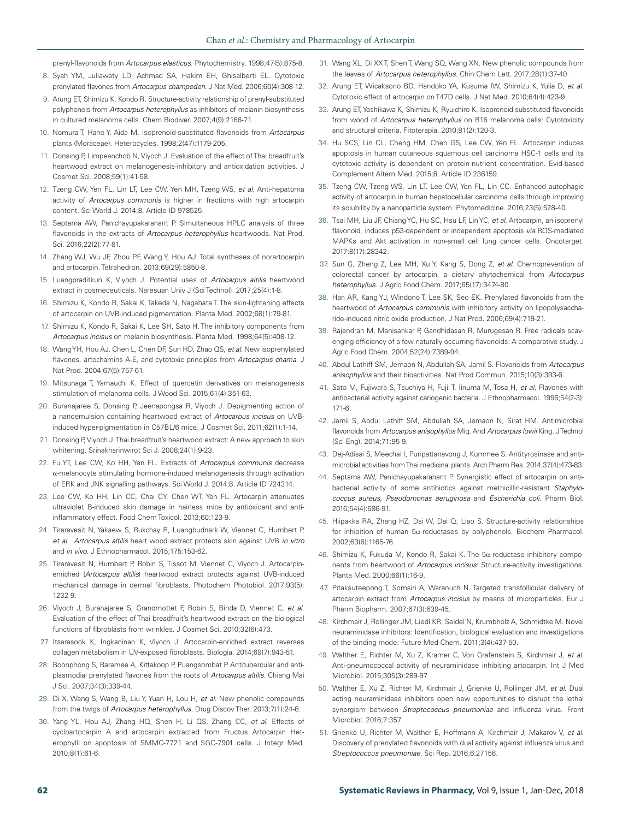prenyl-flavonoids from *Artocarpus elasticus*. Phytochemistry. 1998;47(5):875-8.

- 8. Syah YM, Juliawaty LD, Achmad SA, Hakim EH, Ghisalberti EL. Cytotoxic prenylated flavones from *Artocarpus champeden*. J Nat Med. 2006;60(4):308-12.
- 9. Arung ET, Shimizu K, Kondo R. Structure-activity relationship of prenyl-substituted polyphenols from *Artocarpus heterophyllus* as inhibitors of melanin biosynthesis in cultured melanoma cells. Chem Biodiver. 2007;4(9):2166-71.
- 10. Nomura T, Hano Y, Aida M. Isoprenoid-substituted flavonoids from *Artocarpus*  plants (Moraceae). Heterocycles. 1998;2(47):1179-205.
- 11. Donsing P, Limpeanchob N, Viyoch J. Evaluation of the effect of Thai breadfruit's heartwood extract on melanogenesis-inhibitory and antioxidation activities. J Cosmet Sci. 2008;59(1):41-58.
- 12. Tzeng CW, Yen FL, Lin LT, Lee CW, Yen MH, Tzeng WS, *et al*. Anti-hepatoma activity of *Artocarpus communis* is higher in fractions with high artocarpin content. Sci World J. 2014;8. Article ID 978525.
- 13. Septama AW, Panichayupakaranant P. Simultaneous HPLC analysis of three flavonoids in the extracts of *Artocarpus heterophyllus* heartwoods. Nat Prod. Sci. 2016;22(2):77-81.
- 14. Zhang WJ, Wu JF, Zhou PF, Wang Y, Hou AJ. Total syntheses of norartocarpin and artocarpin. Tetrahedron. 2013;69(29):5850-8.
- 15. Luangpraditkun K, Viyoch J. Potential uses of *Artocarpus altilis* heartwood extract in cosmeceuticals. Naresuan Univ J (Sci Technol). 2017;25(4):1-8.
- 16. Shimizu K, Kondo R, Sakai K, Takeda N, Nagahata T. The skin-lightening effects of artocarpin on UVB-induced pigmentation. Planta Med. 2002;68(1):79-81.
- 17. Shimizu K, Kondo R, Sakai K, Lee SH, Sato H. The inhibitory components from *Artocarpus incisus* on melanin biosynthesis. Planta Med. 1998;64(5):408-12.
- 18. Wang YH, Hou AJ, Chen L, Chen DF, Sun HD, Zhao QS, *et al*. New isoprenylated flavones, artochamins A-E, and cytotoxic principles from *Artocarpus chama*. J Nat Prod. 2004;67(5):757-61.
- 19. Mitsunaga T, Yamauchi K. Effect of quercetin derivatives on melanogenesis stimulation of melanoma cells. J Wood Sci. 2015;61(4):351-63.
- 20. Buranajaree S, Donsing P, Jeenapongsa R, Viyoch J. Depigmenting action of a nanoemulsion containing heartwood extract of *Artocarpus incisus* on UVBinduced hyper-pigmentation in C57BL/6 mice. J Cosmet Sci. 2011;62(1):1-14.
- 21. Donsing P, Viyoch J. Thai breadfruit's heartwood extract: A new approach to skin whitening. Srinakharinwirot Sci J. 2008;24(1):9-23.
- 22. Fu YT, Lee CW, Ko HH, Yen FL. Extracts of *Artocarpus communis* decrease α-melanocyte stimulating hormone-induced melanogenesis through activation of ERK and JNK signalling pathways. Sci World J. 2014;8. Article ID 724314.
- 23. Lee CW, Ko HH, Lin CC, Chai CY, Chen WT, Yen FL. Artocarpin attenuates ultraviolet B-induced skin damage in hairless mice by antioxidant and antiinflammatory effect. Food Chem Toxicol. 2013;60:123-9.
- 24. Tiraravesit N, Yakaew S, Rukchay R, Luangbudnark W, Viennet C, Humbert P, *et al*. *Artocarpus altilis* heart wood extract protects skin against UVB *in vitro*  and *in vivo*. J Ethnopharmacol. 2015;175:153-62.
- 25. Tiraravesit N, Humbert P, Robin S, Tissot M, Viennet C, Viyoch J. Artocarpin‐ enriched (Artocarpus altilis) heartwood extract protects against UVB-induced mechanical damage in dermal fibroblasts. Photochem Photobiol. 2017;93(5): 1232-9.
- 26. Viyoch J, Buranajaree S, Grandmottet F, Robin S, Binda D, Viennet C, *et al*. Evaluation of the effect of Thai breadfruit's heartwood extract on the biological functions of fibroblasts from wrinkles. J Cosmet Sci. 2010;32(6):473.
- 27. Itsarasook K, Ingkaninan K, Viyoch J. Artocarpin-enriched extract reverses collagen metabolism in UV-exposed fibroblasts. Biologia. 2014;69(7):943-51.
- 28. Boonphong S, Baramee A, Kittakoop P, Puangsombat P. Antitubercular and antiplasmodial prenylated flavones from the roots of *Artocarpus altilis*. Chiang Mai J Sci. 2007;34(3):339-44.
- 29. Di X, Wang S, Wang B, Liu Y, Yuan H, Lou H, *et al*. New phenolic compounds from the twigs of *Artocarpus heterophyllus*. Drug Discov Ther. 2013;7(1):24-8.
- 30. Yang YL, Hou AJ, Zhang HQ, Shen H, Li QS, Zhang CC, *et al*. Effects of cycloartocarpin A and artocarpin extracted from Fructus Artocarpin Heterophylli on apoptosis of SMMC-7721 and SGC-7901 cells. J Integr Med. 2010;8(1):61-6.
- 31. Wang XL, Di XX T, Shen T, Wang SQ, Wang XN. New phenolic compounds from the leaves of *Artocarpus heterophyllus*. Chin Chem Lett. 2017;28(1):37-40.
- 32. Arung ET, Wicaksono BD, Handoko YA, Kusuma IW, Shimizu K, Yulia D, *et al*. Cytotoxic effect of artocarpin on T47D cells. J Nat Med. 2010;64(4):423-9.
- 33. Arung ET, Yoshikawa K, Shimizu K, Ryuichiro K. Isoprenoid-substituted flavonoids from wood of *Artocarpus heterophyllus* on B16 melanoma cells: Cytotoxicity and structural criteria. Fitoterapia. 2010;81(2):120-3.
- 34. Hu SCS, Lin CL, Cheng HM, Chen GS, Lee CW, Yen FL. Artocarpin induces apoptosis in human cutaneous squamous cell carcinoma HSC-1 cells and its cytotoxic activity is dependent on protein-nutrient concentration. Evid-based Complement Altern Med. 2015;8. Article ID 236159.
- 35. Tzeng CW, Tzeng WS, Lin LT, Lee CW, Yen FL, Lin CC. Enhanced autophagic activity of artocarpin in human hepatocellular carcinoma cells through improving its solubility by a nanoparticle system. Phytomedicine. 2016;23(5):528-40.
- 36. Tsai MH, Liu JF, Chiang YC, Hu SC, Hsu LF, Lin YC, *et al*. Artocarpin, an isoprenyl flavonoid, induces p53-dependent or independent apoptosis *via* ROS-mediated MAPKs and Akt activation in non-small cell lung cancer cells. Oncotarget. 2017;8(17):28342.
- 37. Sun G, Zheng Z, Lee MH, Xu Y, Kang S, Dong Z, *et al*. Chemoprevention of colorectal cancer by artocarpin, a dietary phytochemical from *Artocarpus heterophyllus*. J Agric Food Chem. 2017;65(17):3474-80.
- 38. Han AR, Kang YJ, Windono T, Lee SK, Seo EK. Prenylated flavonoids from the heartwood of *Artocarpus communis* with inhibitory activity on lipopolysaccharide-induced nitric oxide production. J Nat Prod. 2006;69(4):719-21.
- 39. Rajendran M, Manisankar P, Gandhidasan R, Murugesan R. Free radicals scavenging efficiency of a few naturally occurring flavonoids: A comparative study. J Agric Food Chem. 2004;52(24):7389-94.
- 40. Abdul Lathiff SM, Jemaon N, Abdullah SA, Jamil S. Flavonoids from *Artocarpus anisophyllus* and their bioactivities. Nat Prod Commun. 2015;10(3):393-6.
- 41. Sato M, Fujiwara S, Tsuchiya H, Fujii T, Iinuma M, Tosa H, *et al*. Flavones with antibacterial activity against cariogenic bacteria. J Ethnopharmacol. 1996;54(2-3): 171-6.
- 42. Jamil S, Abdul Lathiff SM, Abdullah SA, Jemaon N, Sirat HM. Antimicrobial flavonoids from *Artocarpus anisophyllus* Miq. And *Artocarpus lowii* King. J Technol (Sci Eng). 2014;71:95-9.
- 43. Dej-Adisai S, Meechai I, Puripattanavong J, Kummee S. Antityrosinase and antimicrobial activities from Thai medicinal plants. Arch Pharm Res. 2014;37(4):473-83.
- 44. Septama AW, Panichayupakaranant P. Synergistic effect of artocarpin on antibacterial activity of some antibiotics against methicillin-resistant *Staphylococcus aureus*, *Pseudomonas aeruginosa* and *Escherichia coli*. Pharm Biol. 2016;54(4):686-91.
- 45. Hiipakka RA, Zhang HZ, Dai W, Dai Q, Liao S. Structure-activity relationships for inhibition of human 5α-reductases by polyphenols. Biochem Pharmacol. 2002;63(6):1165-76.
- 46. Shimizu K, Fukuda M, Kondo R, Sakai K, The  $5\alpha$ -reductase inhibitory components from heartwood of *Artocarpus incisus*: Structure-activity investigations. Planta Med. 2000;66(1):16-9.
- 47. Pitaksuteepong T, Somsiri A, Waranuch N. Targeted transfollicular delivery of artocarpin extract from *Artocarpus incisus* by means of microparticles. Eur J Pharm Biopharm. 2007;67(3):639-45.
- 48. Kirchmair J, Rollinger JM, Liedl KR, Seidel N, Krumbholz A, Schmidtke M. Novel neuraminidase inhibitors: Identification, biological evaluation and investigations of the binding mode. Future Med Chem. 2011;3(4):437-50.
- 49. Walther E, Richter M, Xu Z, Kramer C, Von Grafenstein S, Kirchmair J, *et al*. Anti-pneumococcal activity of neuraminidase inhibiting artocarpin. Int J Med Microbiol. 2015;305(3):289-97.
- 50. Walther E, Xu Z, Richter M, Kirchmair J, Grienke U, Rollinger JM, *et al*. Dual acting neuraminidase inhibitors open new opportunities to disrupt the lethal synergism between *Streptococcus pneumoniae* and influenza virus. Front Microbiol. 2016;7:357.
- 51. Grienke U, Richter M, Walther E, Hoffmann A, Kirchmair J, Makarov V, *et al*. Discovery of prenylated flavonoids with dual activity against influenza virus and *Streptococcus pneumoniae*. Sci Rep. 2016;6:27156.